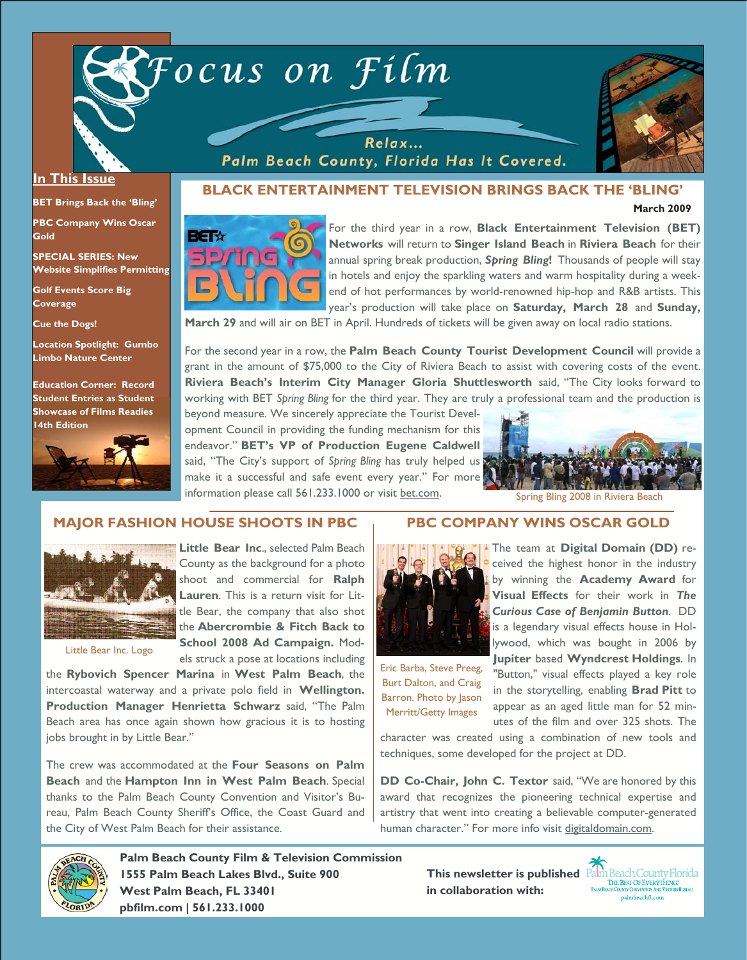



**March 2009** 

#### **In This Issue**

**BET Brings Back the 'Bling'** 

**PBC Company Wins Oscar Gold** 

**SPECIAL SERIES: New Website Simplifies Permitting** 

**Golf Events Score Big Coverage** 

**Cue the Dogs!** 

**Location Spotlight: Gumbo Limbo Nature Center** 

**Education Corner: Record Student Entries as Student Showcase of Films Readies 14th Edition** 



# **BLACK ENTERTAINMENT TELEVISION BRINGS BACK THE 'BLING'**

Relax... Palm Beach County, Florida Has It Covered.



For the third year in a row, **Black Entertainment Television (BET) Networks** will return to **Singer Island Beach** in **Riviera Beach** for their annual spring break production, *Spring Bling***!** Thousands of people will stay in hotels and enjoy the sparkling waters and warm hospitality during a weekend of hot performances by world-renowned hip-hop and R&B artists. This year's production will take place on **Saturday, March 28** and **Sunday,** 

**March 29** and will air on BET in April. Hundreds of tickets will be given away on local radio stations.

For the second year in a row, the **Palm Beach County Tourist Development Council** will provide a grant in the amount of \$75,000 to the City of Riviera Beach to assist with covering costs of the event. **Riviera Beach's Interim City Manager Gloria Shuttlesworth** said, "The City looks forward to working with BET *Spring Bling* for the third year. They are truly a professional team and the production is

beyond measure. We sincerely appreciate the Tourist Development Council in providing the funding mechanism for this endeavor." **BET's VP of Production Eugene Caldwell** said, "The City's support of *Spring Bling* has truly helped us make it a successful and safe event every year." For more information please call 561.233.1000 or visit bet.com.



Spring Bling 2008 in Riviera Beach

## **MAJOR FASHION HOUSE SHOOTS IN PBC**



**Little Bear Inc., selected Palm Beach** County as the background for a photo shoot and commercial for **Ralph Lauren**. This is a return visit for Little Bear, the company that also shot the **Abercrombie & Fitch Back to School 2008 Ad Campaign.** Models struck a pose at locations including

Little Bear Inc. Logo

the **Rybovich Spencer Marina** in **West Palm Beach**, the intercoastal waterway and a private polo field in **Wellington. Production Manager Henrietta Schwarz** said, "The Palm Beach area has once again shown how gracious it is to hosting jobs brought in by Little Bear."

The crew was accommodated at the **Four Seasons on Palm Beach** and the **Hampton Inn in West Palm Beach**. Special thanks to the Palm Beach County Convention and Visitor's Bureau, Palm Beach County Sheriff's Office, the Coast Guard and the City of West Palm Beach for their assistance.

## **PBC COMPANY WINS OSCAR GOLD**



Merritt/Getty Images

**Visual Effects** for their work in *The Curious Case of Benjamin Button*. DD is a legendary visual effects house in Hollywood, which was bought in 2006 by **Jupiter** based **Wyndcrest Holdings**. In "Button," visual effects played a key role in the storytelling, enabling **Brad Pitt** to appear as an aged little man for 52 minutes of the film and over 325 shots. The Eric Barba, Steve Preeg, Burt Dalton, and Craig Barron. Photo by Jason

character was created using a combination of new tools and techniques, some developed for the project at DD.

**DD Co-Chair, John C. Textor** said, "We are honored by this award that recognizes the pioneering technical expertise and artistry that went into creating a believable computer-generated human character." For more info visit digitaldomain.com.



**Palm Beach County Film & Television Commission 1555 Palm Beach Lakes Blvd., Suite 900 West Palm Beach, FL 33401 pbfilm.com | 561.233.1000** 

**in collaboration with:**

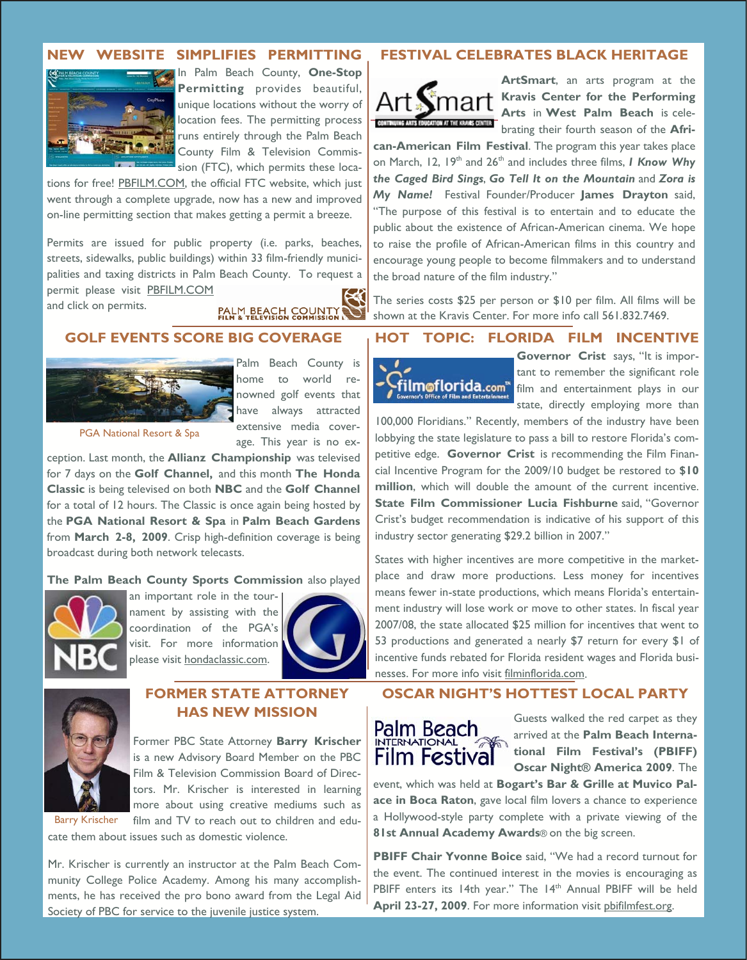#### **NEW WEBSITE SIMPLIFIES PERMITTING**



In Palm Beach County, **One-Stop Permitting** provides beautiful, unique locations without the worry of location fees. The permitting process runs entirely through the Palm Beach County Film & Television Commission (FTC), which permits these loca-

tions for free! PBFILM.COM, the official FTC website, which just went through a complete upgrade, now has a new and improved on-line permitting section that makes getting a permit a breeze.

Permits are issued for public property (i.e. parks, beaches, streets, sidewalks, public buildings) within 33 film-friendly municipalities and taxing districts in Palm Beach County. To request a permit please visit PBFILM.COM

and click on permits.

PALM BEACH COUNTY

## **GOLF EVENTS SCORE BIG COVERAGE**



Palm Beach County is home to world renowned golf events that have always attracted extensive media coverage. This year is no ex-

PGA National Resort & Spa

ception. Last month, the **Allianz Championship** was televised for 7 days on the **Golf Channel,** and this month **The Honda Classic** is being televised on both **NBC** and the **Golf Channel** for a total of 12 hours. The Classic is once again being hosted by the **PGA National Resort & Spa** in **Palm Beach Gardens** from **March 2-8, 2009**. Crisp high-definition coverage is being broadcast during both network telecasts.

#### **The Palm Beach County Sports Commission** also played



an important role in the tournament by assisting with the coordination of the PGA's visit. For more information please visit hondaclassic.com.





Barry Krischer

## **FORMER STATE ATTORNEY HAS NEW MISSION**

Former PBC State Attorney **Barry Krischer**  is a new Advisory Board Member on the PBC Film & Television Commission Board of Directors. Mr. Krischer is interested in learning more about using creative mediums such as film and TV to reach out to children and edu-

cate them about issues such as domestic violence.

Mr. Krischer is currently an instructor at the Palm Beach Community College Police Academy. Among his many accomplishments, he has received the pro bono award from the Legal Aid Society of PBC for service to the juvenile justice system.

### **FESTIVAL CELEBRATES BLACK HERITAGE**



**ArtSmart**, an arts program at the **Kravis Center for the Performing Arts** in **West Palm Beach** is celebrating their fourth season of the **Afri-**

**can-American Film Festival**. The program this year takes place on March, 12, 19th and 26th and includes three films, *I Know Why the Caged Bird Sings*, *Go Tell It on the Mountain* and *Zora is My Name!* Festival Founder/Producer **James Drayton** said, "The purpose of this festival is to entertain and to educate the public about the existence of African-American cinema. We hope to raise the profile of African-American films in this country and encourage young people to become filmmakers and to understand the broad nature of the film industry."

The series costs \$25 per person or \$10 per film. All films will be shown at the Kravis Center. For more info call 561.832.7469.

## **HOT TOPIC: FLORIDA FILM INCENTIVE**



tant to remember the significant role film and entertainment plays in our state, directly employing more than

100,000 Floridians." Recently, members of the industry have been lobbying the state legislature to pass a bill to restore Florida's competitive edge. **Governor Crist** is recommending the Film Financial Incentive Program for the 2009/10 budget be restored to **\$10 million**, which will double the amount of the current incentive. **State Film Commissioner Lucia Fishburne** said, "Governor Crist's budget recommendation is indicative of his support of this industry sector generating \$29.2 billion in 2007."

States with higher incentives are more competitive in the marketplace and draw more productions. Less money for incentives means fewer in-state productions, which means Florida's entertainment industry will lose work or move to other states. In fiscal year 2007/08, the state allocated \$25 million for incentives that went to 53 productions and generated a nearly \$7 return for every \$1 of incentive funds rebated for Florida resident wages and Florida businesses. For more info visit filminflorida.com.

## **OSCAR NIGHT'S HOTTEST LOCAL PARTY**



Guests walked the red carpet as they arrived at the **Palm Beach International Film Festival's (PBIFF) Oscar Night® America 2009**. The

event, which was held at **Bogart's Bar & Grille at Muvico Palace in Boca Raton**, gave local film lovers a chance to experience a Hollywood-style party complete with a private viewing of the **81st Annual Academy Awards**® on the big screen.

**PBIFF Chair Yvonne Boice** said, "We had a record turnout for the event. The continued interest in the movies is encouraging as PBIFF enters its 14th year." The 14<sup>th</sup> Annual PBIFF will be held **April 23-27, 2009**. For more information visit pbifilmfest.org.

**Governor Crist** says, "It is impor-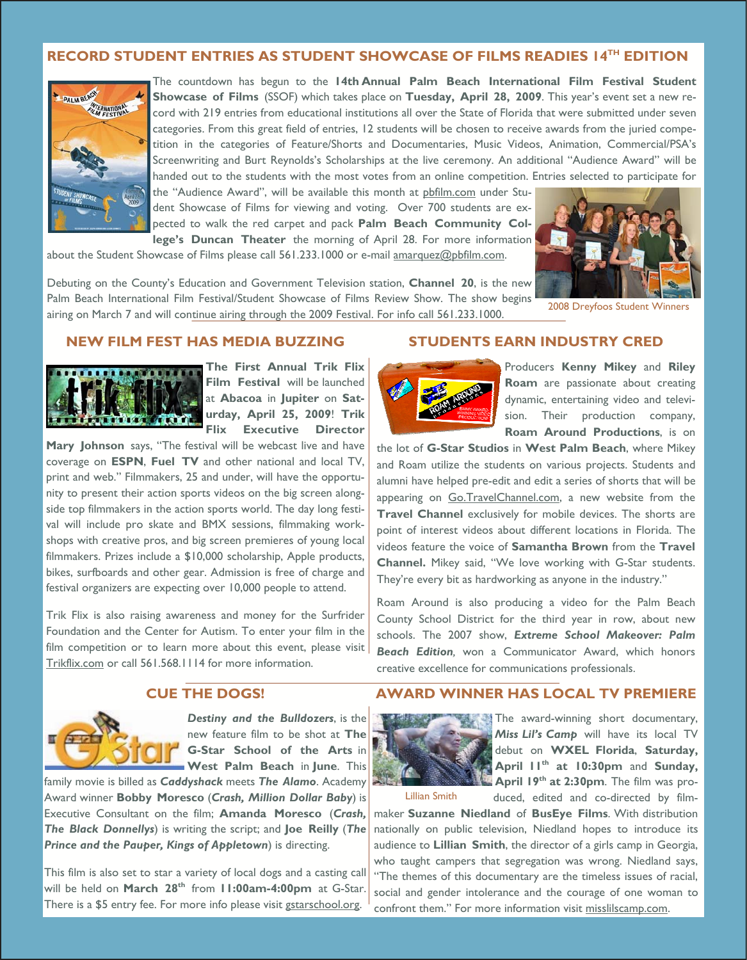## **RECORD STUDENT ENTRIES AS STUDENT SHOWCASE OF FILMS READIES 14TH EDITION**



The countdown has begun to the **14th Annual Palm Beach International Film Festival Student Showcase of Films** (SSOF) which takes place on **Tuesday, April 28, 2009**. This year's event set a new record with 219 entries from educational institutions all over the State of Florida that were submitted under seven categories. From this great field of entries, 12 students will be chosen to receive awards from the juried competition in the categories of Feature/Shorts and Documentaries, Music Videos, Animation, Commercial/PSA's Screenwriting and Burt Reynolds's Scholarships at the live ceremony. An additional "Audience Award" will be handed out to the students with the most votes from an online competition. Entries selected to participate for

the "Audience Award", will be available this month at pbfilm.com under Student Showcase of Films for viewing and voting. Over 700 students are expected to walk the red carpet and pack **Palm Beach Community College's Duncan Theater** the morning of April 28. For more information

about the Student Showcase of Films please call 561.233.1000 or e-mail amarquez@pbfilm.com.



Palm Beach International Film Festival/Student Showcase of Films Review Show. The show begins airing on March 7 and will continue airing through the 2009 Festival. For info call 561.233.1000.

#### **NEW FILM FEST HAS MEDIA BUZZING**



**The First Annual Trik Flix Film Festival** will be launched at **Abacoa** in **Jupiter** on **Saturday, April 25, 2009**! **Trik Flix Executive Director**

**Mary Johnson** says, "The festival will be webcast live and have coverage on **ESPN**, **Fuel TV** and other national and local TV, print and web." Filmmakers, 25 and under, will have the opportunity to present their action sports videos on the big screen alongside top filmmakers in the action sports world. The day long festival will include pro skate and BMX sessions, filmmaking workshops with creative pros, and big screen premieres of young local filmmakers. Prizes include a \$10,000 scholarship, Apple products, bikes, surfboards and other gear. Admission is free of charge and festival organizers are expecting over 10,000 people to attend.

Trik Flix is also raising awareness and money for the Surfrider Foundation and the Center for Autism. To enter your film in the film competition or to learn more about this event, please visit Trikflix.com or call 561.568.1114 for more information.

# **STUDENTS EARN INDUSTRY CRED**



Producers **Kenny Mikey** and **Riley Roam** are passionate about creating dynamic, entertaining video and television. Their production company, **Roam Around Productions**, is on

the lot of **G-Star Studios** in **West Palm Beach**, where Mikey and Roam utilize the students on various projects. Students and alumni have helped pre-edit and edit a series of shorts that will be appearing on Go.TravelChannel.com, a new website from the **Travel Channel** exclusively for mobile devices. The shorts are point of interest videos about different locations in Florida. The videos feature the voice of **Samantha Brown** from the **Travel Channel.** Mikey said, "We love working with G-Star students. They're every bit as hardworking as anyone in the industry."

Roam Around is also producing a video for the Palm Beach County School District for the third year in row, about new schools. The 2007 show, *Extreme School Makeover: Palm Beach Edition,* won a Communicator Award, which honors creative excellence for communications professionals.

#### **CUE THE DOGS!**



*Destiny and the Bulldozers*, is the new feature film to be shot at **The G-Star School of the Arts** in **West Palm Beach** in **June**. This

family movie is billed as *Caddyshack* meets *The Alamo*. Academy Award winner **Bobby Moresco** (*Crash, Million Dollar Baby*) is Executive Consultant on the film; **Amanda Moresco** (*Crash, The Black Donnellys*) is writing the script; and **Joe Reilly** (*The Prince and the Pauper, Kings of Appletown*) is directing.

This film is also set to star a variety of local dogs and a casting call will be held on **March 28th** from **11:00am-4:00pm** at G-Star. There is a \$5 entry fee. For more info please visit gstarschool.org.

#### **AWARD WINNER HAS LOCAL TV PREMIERE**



The award-winning short documentary, *Miss Lil's Camp* will have its local TV debut on **WXEL Florida**, **Saturday, April 11th at 10:30pm** and **Sunday, April 19th at 2:30pm**. The film was produced, edited and co-directed by film-

Lillian Smith

maker **Suzanne Niedland** of **BusEye Films**. With distribution nationally on public television, Niedland hopes to introduce its audience to **Lillian Smith**, the director of a girls camp in Georgia, who taught campers that segregation was wrong. Niedland says, "The themes of this documentary are the timeless issues of racial, social and gender intolerance and the courage of one woman to confront them." For more information visit misslilscamp.com.